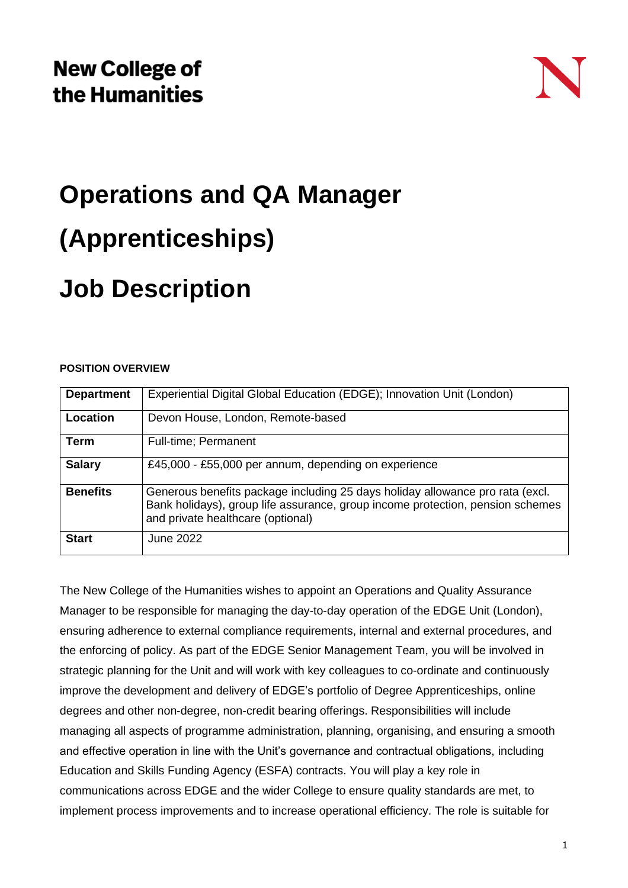# **Operations and QA Manager (Apprenticeships) Job Description**

#### **POSITION OVERVIEW**

| <b>Department</b> | Experiential Digital Global Education (EDGE); Innovation Unit (London)                                                                                                                               |
|-------------------|------------------------------------------------------------------------------------------------------------------------------------------------------------------------------------------------------|
| Location          | Devon House, London, Remote-based                                                                                                                                                                    |
| Term              | Full-time; Permanent                                                                                                                                                                                 |
| <b>Salary</b>     | £45,000 - £55,000 per annum, depending on experience                                                                                                                                                 |
| <b>Benefits</b>   | Generous benefits package including 25 days holiday allowance pro rata (excl.<br>Bank holidays), group life assurance, group income protection, pension schemes<br>and private healthcare (optional) |
| <b>Start</b>      | June 2022                                                                                                                                                                                            |

The New College of the Humanities wishes to appoint an Operations and Quality Assurance Manager to be responsible for managing the day-to-day operation of the EDGE Unit (London), ensuring adherence to external compliance requirements, internal and external procedures, and the enforcing of policy. As part of the EDGE Senior Management Team, you will be involved in strategic planning for the Unit and will work with key colleagues to co-ordinate and continuously improve the development and delivery of EDGE's portfolio of Degree Apprenticeships, online degrees and other non-degree, non-credit bearing offerings. Responsibilities will include managing all aspects of programme administration, planning, organising, and ensuring a smooth and effective operation in line with the Unit's governance and contractual obligations, including Education and Skills Funding Agency (ESFA) contracts. You will play a key role in communications across EDGE and the wider College to ensure quality standards are met, to implement process improvements and to increase operational efficiency. The role is suitable for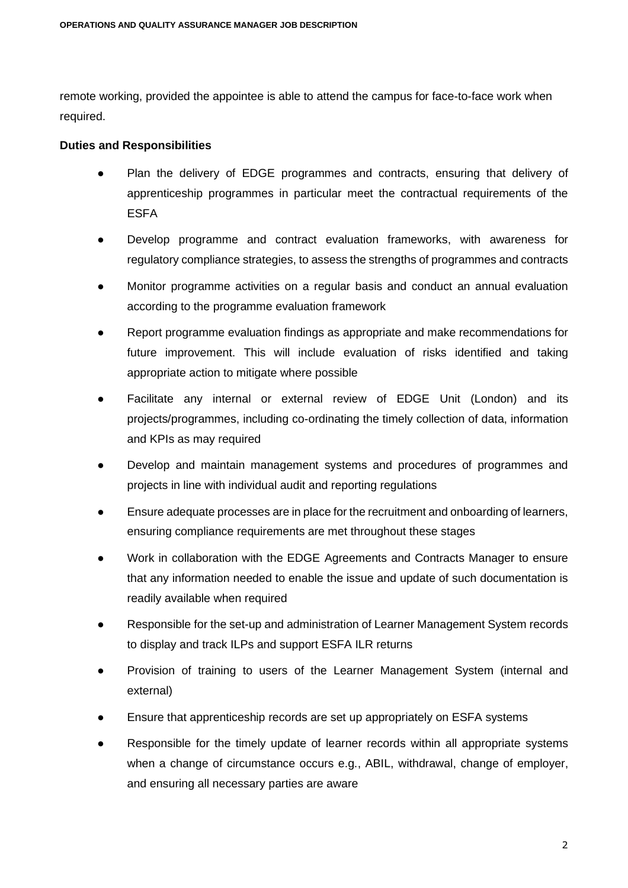remote working, provided the appointee is able to attend the campus for face-to-face work when required.

#### **Duties and Responsibilities**

- Plan the delivery of EDGE programmes and contracts, ensuring that delivery of apprenticeship programmes in particular meet the contractual requirements of the ESFA
- Develop programme and contract evaluation frameworks, with awareness for regulatory compliance strategies, to assess the strengths of programmes and contracts
- Monitor programme activities on a regular basis and conduct an annual evaluation according to the programme evaluation framework
- Report programme evaluation findings as appropriate and make recommendations for future improvement. This will include evaluation of risks identified and taking appropriate action to mitigate where possible
- Facilitate any internal or external review of EDGE Unit (London) and its projects/programmes, including co-ordinating the timely collection of data, information and KPIs as may required
- Develop and maintain management systems and procedures of programmes and projects in line with individual audit and reporting regulations
- Ensure adequate processes are in place for the recruitment and onboarding of learners, ensuring compliance requirements are met throughout these stages
- Work in collaboration with the EDGE Agreements and Contracts Manager to ensure that any information needed to enable the issue and update of such documentation is readily available when required
- Responsible for the set-up and administration of Learner Management System records to display and track ILPs and support ESFA ILR returns
- Provision of training to users of the Learner Management System (internal and external)
- Ensure that apprenticeship records are set up appropriately on ESFA systems
- Responsible for the timely update of learner records within all appropriate systems when a change of circumstance occurs e.g., ABIL, withdrawal, change of employer, and ensuring all necessary parties are aware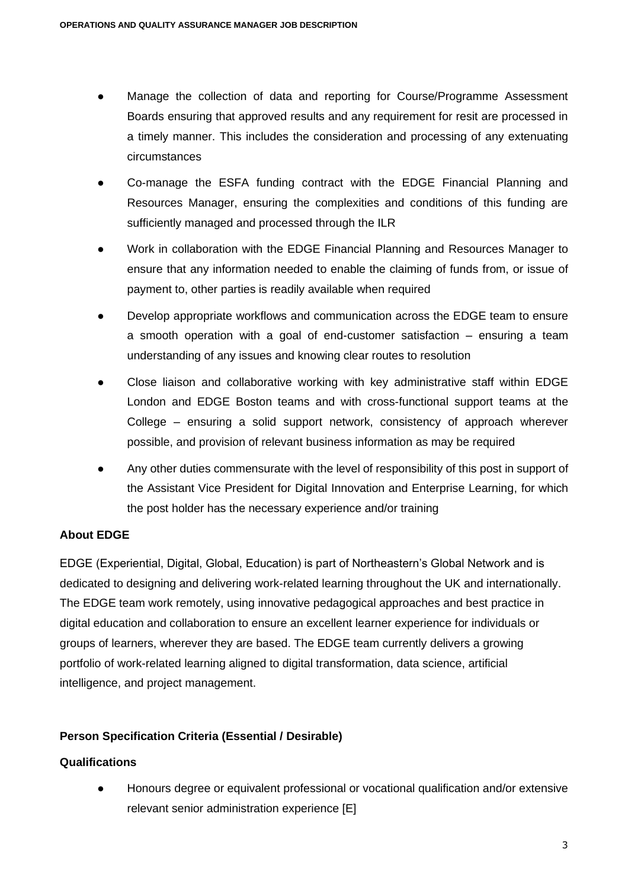- Manage the collection of data and reporting for Course/Programme Assessment Boards ensuring that approved results and any requirement for resit are processed in a timely manner. This includes the consideration and processing of any extenuating circumstances
- Co-manage the ESFA funding contract with the EDGE Financial Planning and Resources Manager, ensuring the complexities and conditions of this funding are sufficiently managed and processed through the ILR
- Work in collaboration with the EDGE Financial Planning and Resources Manager to ensure that any information needed to enable the claiming of funds from, or issue of payment to, other parties is readily available when required
- Develop appropriate workflows and communication across the EDGE team to ensure a smooth operation with a goal of end-customer satisfaction – ensuring a team understanding of any issues and knowing clear routes to resolution
- Close liaison and collaborative working with key administrative staff within EDGE London and EDGE Boston teams and with cross-functional support teams at the College – ensuring a solid support network, consistency of approach wherever possible, and provision of relevant business information as may be required
- Any other duties commensurate with the level of responsibility of this post in support of the Assistant Vice President for Digital Innovation and Enterprise Learning, for which the post holder has the necessary experience and/or training

# **About EDGE**

EDGE (Experiential, Digital, Global, Education) is part of Northeastern's Global Network and is dedicated to designing and delivering work-related learning throughout the UK and internationally. The EDGE team work remotely, using innovative pedagogical approaches and best practice in digital education and collaboration to ensure an excellent learner experience for individuals or groups of learners, wherever they are based. The EDGE team currently delivers a growing portfolio of work-related learning aligned to digital transformation, data science, artificial intelligence, and project management.

# **Person Specification Criteria (Essential / Desirable)**

# **Qualifications**

Honours degree or equivalent professional or vocational qualification and/or extensive relevant senior administration experience [E]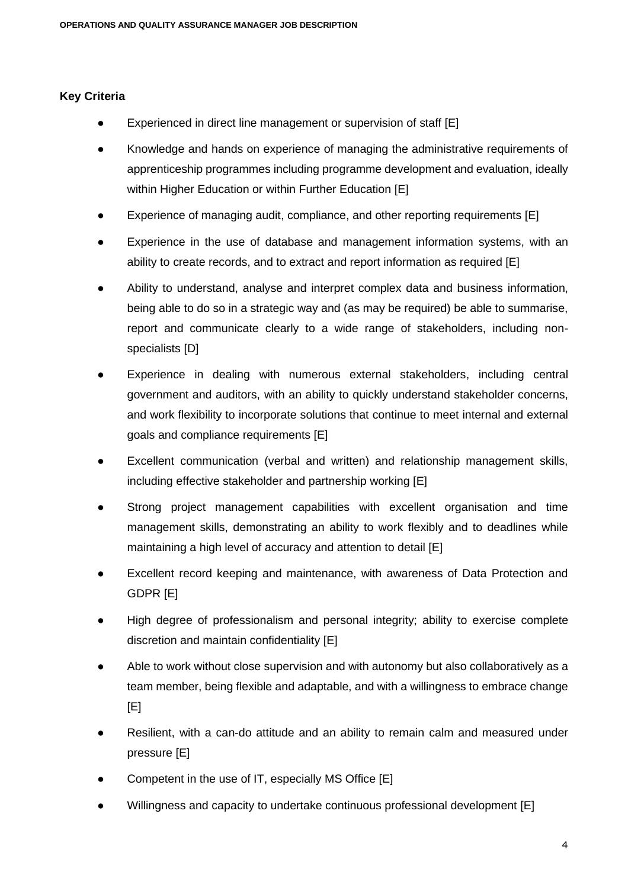#### **Key Criteria**

- Experienced in direct line management or supervision of staff [E]
- Knowledge and hands on experience of managing the administrative requirements of apprenticeship programmes including programme development and evaluation, ideally within Higher Education or within Further Education [E]
- Experience of managing audit, compliance, and other reporting requirements [E]
- Experience in the use of database and management information systems, with an ability to create records, and to extract and report information as required [E]
- Ability to understand, analyse and interpret complex data and business information, being able to do so in a strategic way and (as may be required) be able to summarise, report and communicate clearly to a wide range of stakeholders, including nonspecialists [D]
- Experience in dealing with numerous external stakeholders, including central government and auditors, with an ability to quickly understand stakeholder concerns, and work flexibility to incorporate solutions that continue to meet internal and external goals and compliance requirements [E]
- Excellent communication (verbal and written) and relationship management skills, including effective stakeholder and partnership working [E]
- Strong project management capabilities with excellent organisation and time management skills, demonstrating an ability to work flexibly and to deadlines while maintaining a high level of accuracy and attention to detail [E]
- Excellent record keeping and maintenance, with awareness of Data Protection and GDPR [E]
- High degree of professionalism and personal integrity; ability to exercise complete discretion and maintain confidentiality [E]
- Able to work without close supervision and with autonomy but also collaboratively as a team member, being flexible and adaptable, and with a willingness to embrace change  $[E]$
- Resilient, with a can-do attitude and an ability to remain calm and measured under pressure [E]
- Competent in the use of IT, especially MS Office [E]
- Willingness and capacity to undertake continuous professional development [E]